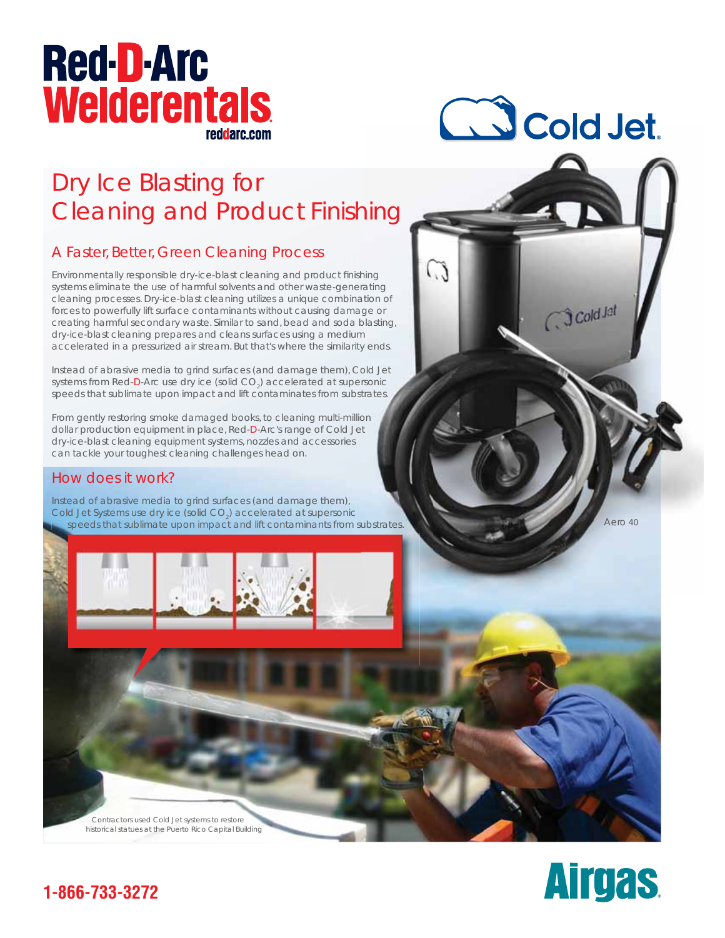# **Red-D-Arc Welderentals** reddarc.com

# CS Cold Jet.

 $C$  $3$  Cold Jat

# Dry Ice Blasting for Cleaning and Product Finishing

### A Faster, Better, Green Cleaning Process

Environmentally responsible dry-ice-blast cleaning and product finishing Environmentally responsible dry-ice-blast cleaning and product finishing<br>systems eliminate the use of harmful solvents and other waste-generating cleaning processes. Dry-ice-blast cleaning utilizes a unique combination of forces to powerfully lift surface contaminants without causing damage or creating harmful secondary waste. Similar to sand, bead and soda blasting, dry-ice-blast cleaning prepares and cleans surfaces using a medium accelerated in a pressurized air stream. But that's where the similarity ends. age or<br>m<br>m<br>ty end:<br>Cold Je<br>crsonic **hing**<br>shing<br>adion of<br>age or<br>blasting,<br>m<br>Cold Jet<br>ersonic<br>strates.<br>substrates.<br><br><br><br><br>substrates.

Instead of abrasive media to grind surfaces (and damage them), Cold Jet systems from Red-D-Arc use dry ice (solid CO<sub>2</sub>) accelerated at supersonic speeds that sublimate upon impact and lift contaminates from substrates.

From gently restoring smoke damaged books, to cleaning multi-million dollar production equipment in place, Red-D-Arc's range of Cold Jet dry-ice-blast cleaning equipment systems, nozzles and accessories can tackle your toughest cleaning challenges head on.

#### How does it work?

Instead of abrasive media to grind surfaces (and damage them), Cold Jet Systems use dry ice (solid CO<sub>2</sub>) accelerated at supersonic speeds that sublimate upon impact and lift contaminants from substrates

Aero 40



 Contractors used Cold Jet systems to restore historical statues at the Puerto Rico Capital Building



### **1-866-733-3272**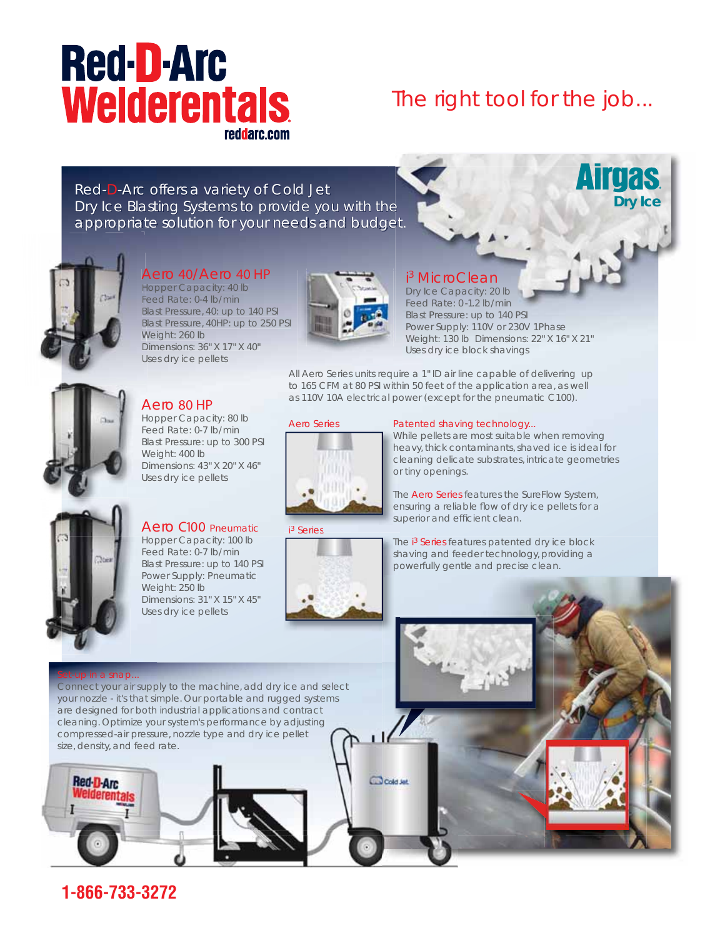# **Red-D-Arc Welderentals** reddarc.com

## The *right* tool for the job...

**Dry Ice**

**Airgas** 

Red-D-Arc offers a variety of Cold Jet Dry Ice Blasting Systems to provide you with the appropriate solution for your needs and budget.



#### Aero 40/Aero 40 HP

Hopper Capacity: 40 lb H Feed Rate: 0-4 lb/min F Blast Pressure, 40: up to 140 PSI B Blast Pressure, 40HP: up to 250 PSI B Weight: 260 lb W Dimensions: 36" X 17" X 40" D Uses dry ice pellets U



#### 3 MicroClean

i Dry Ice Capacity: 20 lb Feed Rate: 0 -1.2 lb/min Blast Pressure: up to 140 PSI Power Supply: 110V or 230V 1Phase Weight: 130 lb Dimensions: 22" X 16" X 21" Uses dry ice block shavings

All Aero Series units require a 1" ID air line capable of delivering up to 165 CFM at 80 PSI within 50 feet of the application area, as well as 110V 10A electrical power (except for the pneumatic C100).

#### Aero Series



#### Patented shaving technology...

While pellets are most suitable when removing heavy, thick contaminants, shaved ice is ideal for he cleaning delicate substrates, intricate geometries cl or tiny openings. or

The Aero Series features the SureFlow System, ensuring a reliable flow of dry ice pellets for a superior and efficient clean.

The i<sup>3</sup> Series features patented dry ice block shaving and feeder technology, providing a sh powerfully gentle and precise clean. po



Aero C100 Pneumatic Hopper Capacity: 100 lb Hop Feed Rate: 0-7 lb/min Fee Blast Pressure: up to 140 PSI Blas Power Supply: Pneumatic Pow Weight: 250 lb Wei

Aero 80 HP Hopper Capacity: 80 lb H Feed Rate: 0-7 lb/min Fe Blast Pressure: up to 300 PSI B

Weight: 400 lb W

Dimensions: 31" X 15" X 45" Dim Uses dry ice pellets Use

i 3 Series



#### Set-up in a snap...

**Red D Arc** 

Connect your air supply to the machine, add dry ice and select your nozzle - it's that simple. Our portable and rugged systems are designed for both industrial applications and contract cleaning. Optimize your system's performance by adjusting compressed-air pressure, nozzle type and dry ice pellet size, density, and feed rate.

Cold Jat

**1-866-733-3272**

Dimensions: 43" X 20" X 46" D Uses dry ice pellets U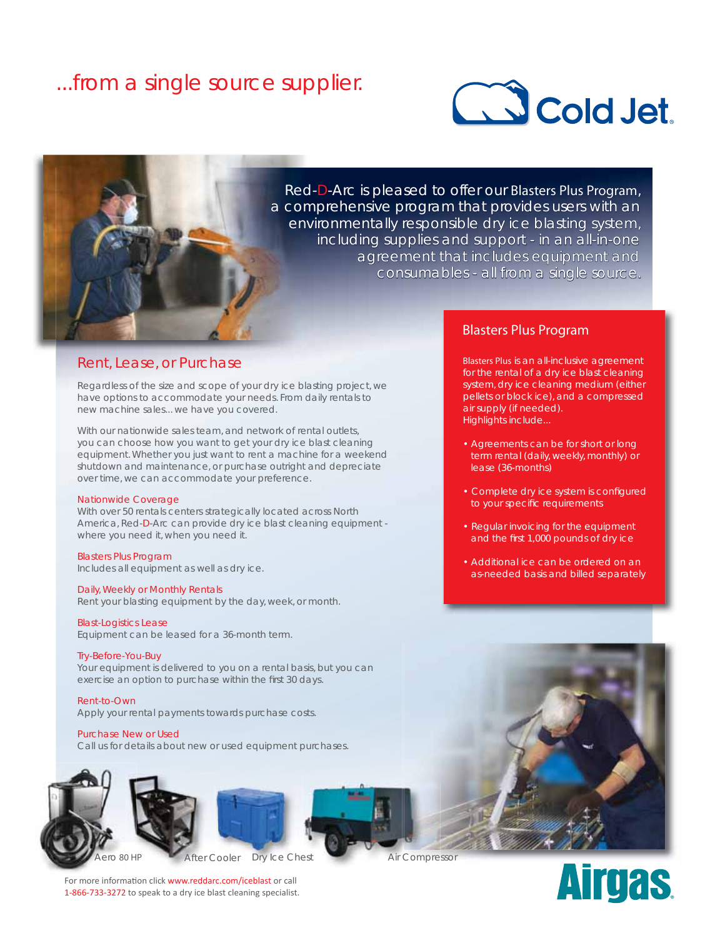### ...from a *single* source supplier.





Red-D-Arc is pleased to offer our Blasters Plus Program, a comprehensive program that provides users with an environmentally responsible dry ice blasting system, including supplies and support - in an all-in-one agreement that includes equipment and consumables - all from a single source.

#### Rent, Lease, or Purchase

Regardless of the size and scope of your dry ice blasting project, we have options to accommodate your needs. From daily rentals to new machine sales... we have you covered.

With our nationwide sales team, and network of rental outlets, you can choose how you want to get your dry ice blast cleaning equipment. Whether you just want to rent a machine for a weekend shutdown and maintenance, or purchase outright and depreciate over time, we can accommodate your preference.

#### Nationwide Coverage

With over 50 rentals centers strategically located across North America, Red-D-Arc can provide dry ice blast cleaning equipment where you need it, when you need it.

Blasters Plus Program Includes all equipment as well as dry ice.

#### Daily, Weekly or Monthly Rentals

Rent your blasting equipment by the day, week, or month.

Blast-Logistics Lease Equipment can be leased for a 36-month term.

Try-Before-You-Buy Your equipment is delivered to you on a rental basis, but you can exercise an option to purchase within the first 30 days.

Rent-to-Own Apply your rental payments towards purchase costs.

Purchase New or Used Call us for details about new or used equipment purchases.

#### Blasters Plus Program

Blasters Plus is an all-inclusive agreement for the rental of a dry ice blast cleaning system, dry ice cleaning medium (either pellets or block ice), and a compressed air supply (if needed). Highlights include...

- Agreements can be for short or long term rental (daily, weekly, monthly) or lease (36-months)
- Complete dry ice system is configured to your specific requirements
- Regular invoicing for the equipment and the first 1,000 pounds of dry ice
- Additional ice can be ordered on an as-needed basis and billed separately



**Airgas** 



After Cooler Dry Ice Chest Air Compressor

For more information click www.reddarc.com/iceblast or call 1-866-733-3272 to speak to a dry ice blast cleaning specialist.